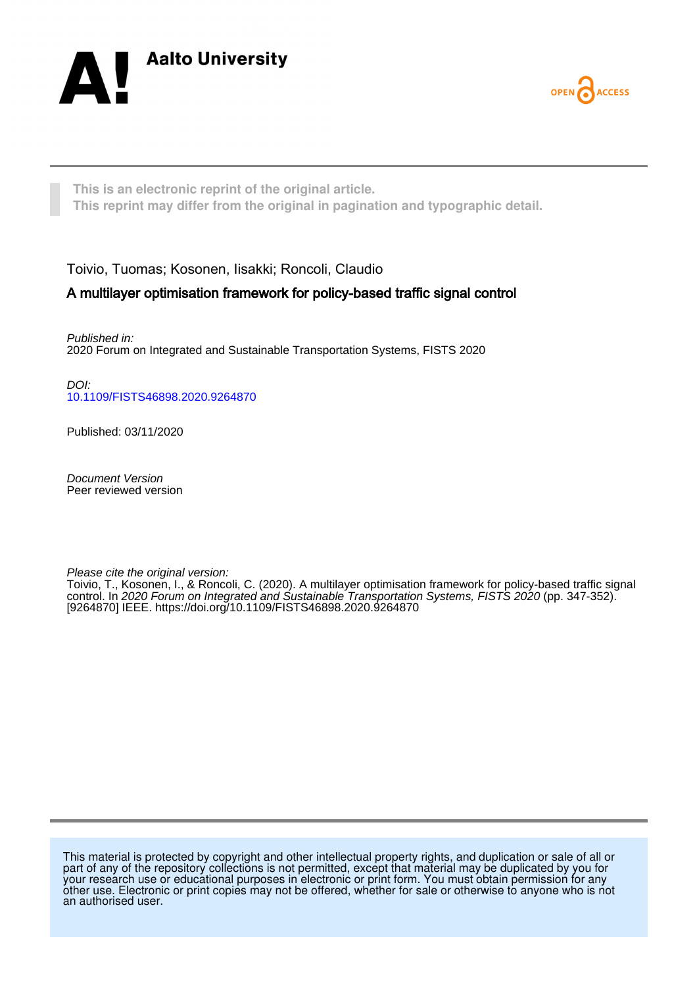



**This is an electronic reprint of the original article. This reprint may differ from the original in pagination and typographic detail.**

Toivio, Tuomas; Kosonen, Iisakki; Roncoli, Claudio

# A multilayer optimisation framework for policy-based traffic signal control

Published in: 2020 Forum on Integrated and Sustainable Transportation Systems, FISTS 2020

DOI: [10.1109/FISTS46898.2020.9264870](https://doi.org/10.1109/FISTS46898.2020.9264870)

Published: 03/11/2020

Document Version Peer reviewed version

Please cite the original version:

Toivio, T., Kosonen, I., & Roncoli, C. (2020). A multilayer optimisation framework for policy-based traffic signal control. In 2020 Forum on Integrated and Sustainable Transportation Systems, FISTS 2020 (pp. 347-352). [9264870] IEEE. <https://doi.org/10.1109/FISTS46898.2020.9264870>

This material is protected by copyright and other intellectual property rights, and duplication or sale of all or part of any of the repository collections is not permitted, except that material may be duplicated by you for your research use or educational purposes in electronic or print form. You must obtain permission for any other use. Electronic or print copies may not be offered, whether for sale or otherwise to anyone who is not an authorised user.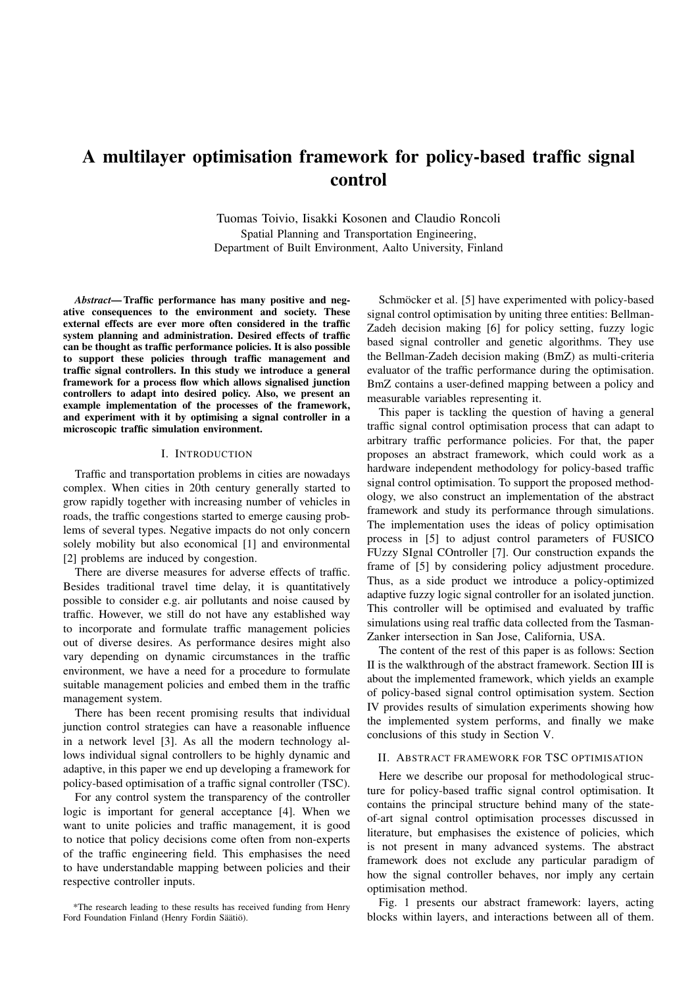# A multilayer optimisation framework for policy-based traffic signal control

Tuomas Toivio, Iisakki Kosonen and Claudio Roncoli Spatial Planning and Transportation Engineering, Department of Built Environment, Aalto University, Finland

*Abstract*— Traffic performance has many positive and negative consequences to the environment and society. These external effects are ever more often considered in the traffic system planning and administration. Desired effects of traffic can be thought as traffic performance policies. It is also possible to support these policies through traffic management and traffic signal controllers. In this study we introduce a general framework for a process flow which allows signalised junction controllers to adapt into desired policy. Also, we present an example implementation of the processes of the framework, and experiment with it by optimising a signal controller in a microscopic traffic simulation environment.

#### I. INTRODUCTION

Traffic and transportation problems in cities are nowadays complex. When cities in 20th century generally started to grow rapidly together with increasing number of vehicles in roads, the traffic congestions started to emerge causing problems of several types. Negative impacts do not only concern solely mobility but also economical [1] and environmental [2] problems are induced by congestion.

There are diverse measures for adverse effects of traffic. Besides traditional travel time delay, it is quantitatively possible to consider e.g. air pollutants and noise caused by traffic. However, we still do not have any established way to incorporate and formulate traffic management policies out of diverse desires. As performance desires might also vary depending on dynamic circumstances in the traffic environment, we have a need for a procedure to formulate suitable management policies and embed them in the traffic management system.

There has been recent promising results that individual junction control strategies can have a reasonable influence in a network level [3]. As all the modern technology allows individual signal controllers to be highly dynamic and adaptive, in this paper we end up developing a framework for policy-based optimisation of a traffic signal controller (TSC).

For any control system the transparency of the controller logic is important for general acceptance [4]. When we want to unite policies and traffic management, it is good to notice that policy decisions come often from non-experts of the traffic engineering field. This emphasises the need to have understandable mapping between policies and their respective controller inputs.

\*The research leading to these results has received funding from Henry Ford Foundation Finland (Henry Fordin Säätiö).

Schmöcker et al. [5] have experimented with policy-based signal control optimisation by uniting three entities: Bellman-Zadeh decision making [6] for policy setting, fuzzy logic based signal controller and genetic algorithms. They use the Bellman-Zadeh decision making (BmZ) as multi-criteria evaluator of the traffic performance during the optimisation. BmZ contains a user-defined mapping between a policy and measurable variables representing it.

This paper is tackling the question of having a general traffic signal control optimisation process that can adapt to arbitrary traffic performance policies. For that, the paper proposes an abstract framework, which could work as a hardware independent methodology for policy-based traffic signal control optimisation. To support the proposed methodology, we also construct an implementation of the abstract framework and study its performance through simulations. The implementation uses the ideas of policy optimisation process in [5] to adjust control parameters of FUSICO FUzzy SIgnal COntroller [7]. Our construction expands the frame of [5] by considering policy adjustment procedure. Thus, as a side product we introduce a policy-optimized adaptive fuzzy logic signal controller for an isolated junction. This controller will be optimised and evaluated by traffic simulations using real traffic data collected from the Tasman-Zanker intersection in San Jose, California, USA.

The content of the rest of this paper is as follows: Section II is the walkthrough of the abstract framework. Section III is about the implemented framework, which yields an example of policy-based signal control optimisation system. Section IV provides results of simulation experiments showing how the implemented system performs, and finally we make conclusions of this study in Section V.

#### II. ABSTRACT FRAMEWORK FOR TSC OPTIMISATION

Here we describe our proposal for methodological structure for policy-based traffic signal control optimisation. It contains the principal structure behind many of the stateof-art signal control optimisation processes discussed in literature, but emphasises the existence of policies, which is not present in many advanced systems. The abstract framework does not exclude any particular paradigm of how the signal controller behaves, nor imply any certain optimisation method.

Fig. 1 presents our abstract framework: layers, acting blocks within layers, and interactions between all of them.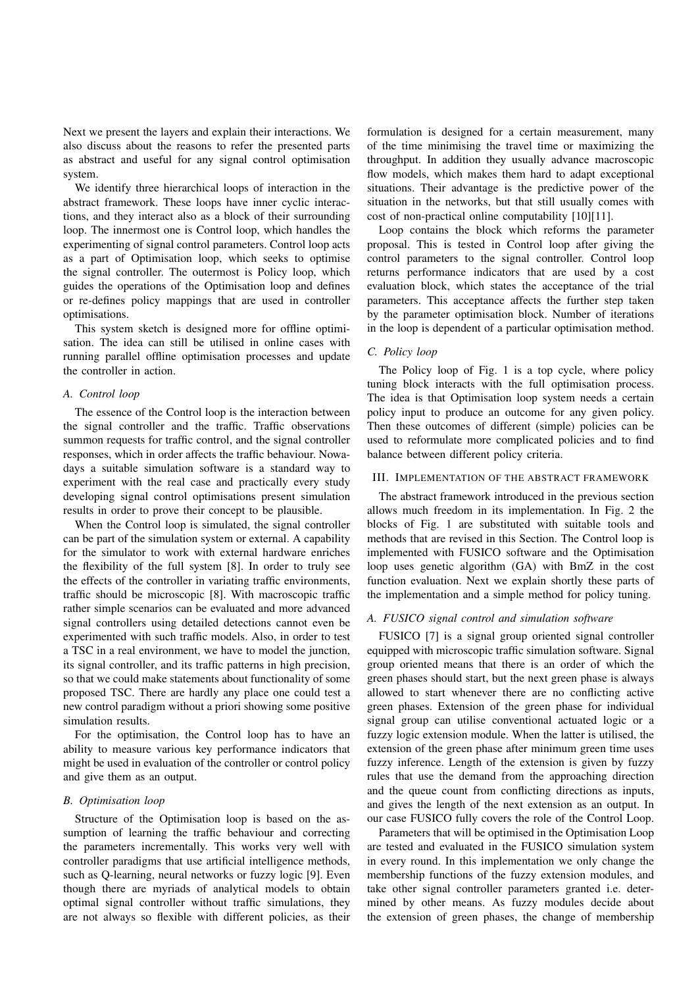Next we present the layers and explain their interactions. We also discuss about the reasons to refer the presented parts as abstract and useful for any signal control optimisation system.

We identify three hierarchical loops of interaction in the abstract framework. These loops have inner cyclic interactions, and they interact also as a block of their surrounding loop. The innermost one is Control loop, which handles the experimenting of signal control parameters. Control loop acts as a part of Optimisation loop, which seeks to optimise the signal controller. The outermost is Policy loop, which guides the operations of the Optimisation loop and defines or re-defines policy mappings that are used in controller optimisations.

This system sketch is designed more for offline optimisation. The idea can still be utilised in online cases with running parallel offline optimisation processes and update the controller in action.

## *A. Control loop*

The essence of the Control loop is the interaction between the signal controller and the traffic. Traffic observations summon requests for traffic control, and the signal controller responses, which in order affects the traffic behaviour. Nowadays a suitable simulation software is a standard way to experiment with the real case and practically every study developing signal control optimisations present simulation results in order to prove their concept to be plausible.

When the Control loop is simulated, the signal controller can be part of the simulation system or external. A capability for the simulator to work with external hardware enriches the flexibility of the full system [8]. In order to truly see the effects of the controller in variating traffic environments, traffic should be microscopic [8]. With macroscopic traffic rather simple scenarios can be evaluated and more advanced signal controllers using detailed detections cannot even be experimented with such traffic models. Also, in order to test a TSC in a real environment, we have to model the junction, its signal controller, and its traffic patterns in high precision, so that we could make statements about functionality of some proposed TSC. There are hardly any place one could test a new control paradigm without a priori showing some positive simulation results.

For the optimisation, the Control loop has to have an ability to measure various key performance indicators that might be used in evaluation of the controller or control policy and give them as an output.

# *B. Optimisation loop*

Structure of the Optimisation loop is based on the assumption of learning the traffic behaviour and correcting the parameters incrementally. This works very well with controller paradigms that use artificial intelligence methods, such as Q-learning, neural networks or fuzzy logic [9]. Even though there are myriads of analytical models to obtain optimal signal controller without traffic simulations, they are not always so flexible with different policies, as their

formulation is designed for a certain measurement, many of the time minimising the travel time or maximizing the throughput. In addition they usually advance macroscopic flow models, which makes them hard to adapt exceptional situations. Their advantage is the predictive power of the situation in the networks, but that still usually comes with cost of non-practical online computability [10][11].

Loop contains the block which reforms the parameter proposal. This is tested in Control loop after giving the control parameters to the signal controller. Control loop returns performance indicators that are used by a cost evaluation block, which states the acceptance of the trial parameters. This acceptance affects the further step taken by the parameter optimisation block. Number of iterations in the loop is dependent of a particular optimisation method.

# *C. Policy loop*

The Policy loop of Fig. 1 is a top cycle, where policy tuning block interacts with the full optimisation process. The idea is that Optimisation loop system needs a certain policy input to produce an outcome for any given policy. Then these outcomes of different (simple) policies can be used to reformulate more complicated policies and to find balance between different policy criteria.

#### III. IMPLEMENTATION OF THE ABSTRACT FRAMEWORK

The abstract framework introduced in the previous section allows much freedom in its implementation. In Fig. 2 the blocks of Fig. 1 are substituted with suitable tools and methods that are revised in this Section. The Control loop is implemented with FUSICO software and the Optimisation loop uses genetic algorithm (GA) with BmZ in the cost function evaluation. Next we explain shortly these parts of the implementation and a simple method for policy tuning.

#### *A. FUSICO signal control and simulation software*

FUSICO [7] is a signal group oriented signal controller equipped with microscopic traffic simulation software. Signal group oriented means that there is an order of which the green phases should start, but the next green phase is always allowed to start whenever there are no conflicting active green phases. Extension of the green phase for individual signal group can utilise conventional actuated logic or a fuzzy logic extension module. When the latter is utilised, the extension of the green phase after minimum green time uses fuzzy inference. Length of the extension is given by fuzzy rules that use the demand from the approaching direction and the queue count from conflicting directions as inputs, and gives the length of the next extension as an output. In our case FUSICO fully covers the role of the Control Loop.

Parameters that will be optimised in the Optimisation Loop are tested and evaluated in the FUSICO simulation system in every round. In this implementation we only change the membership functions of the fuzzy extension modules, and take other signal controller parameters granted i.e. determined by other means. As fuzzy modules decide about the extension of green phases, the change of membership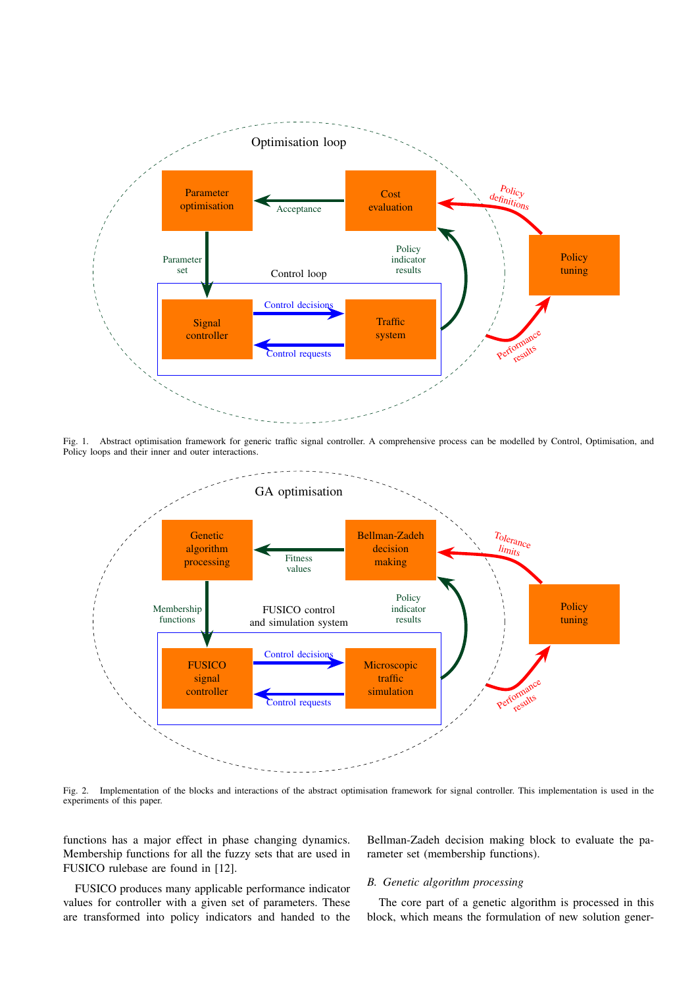

Fig. 1. Abstract optimisation framework for generic traffic signal controller. A comprehensive process can be modelled by Control, Optimisation, and Policy loops and their inner and outer interactions.



Fig. 2. Implementation of the blocks and interactions of the abstract optimisation framework for signal controller. This implementation is used in the experiments of this paper.

functions has a major effect in phase changing dynamics. Membership functions for all the fuzzy sets that are used in FUSICO rulebase are found in [12].

Bellman-Zadeh decision making block to evaluate the parameter set (membership functions).

# *B. Genetic algorithm processing*

FUSICO produces many applicable performance indicator values for controller with a given set of parameters. These are transformed into policy indicators and handed to the

The core part of a genetic algorithm is processed in this block, which means the formulation of new solution gener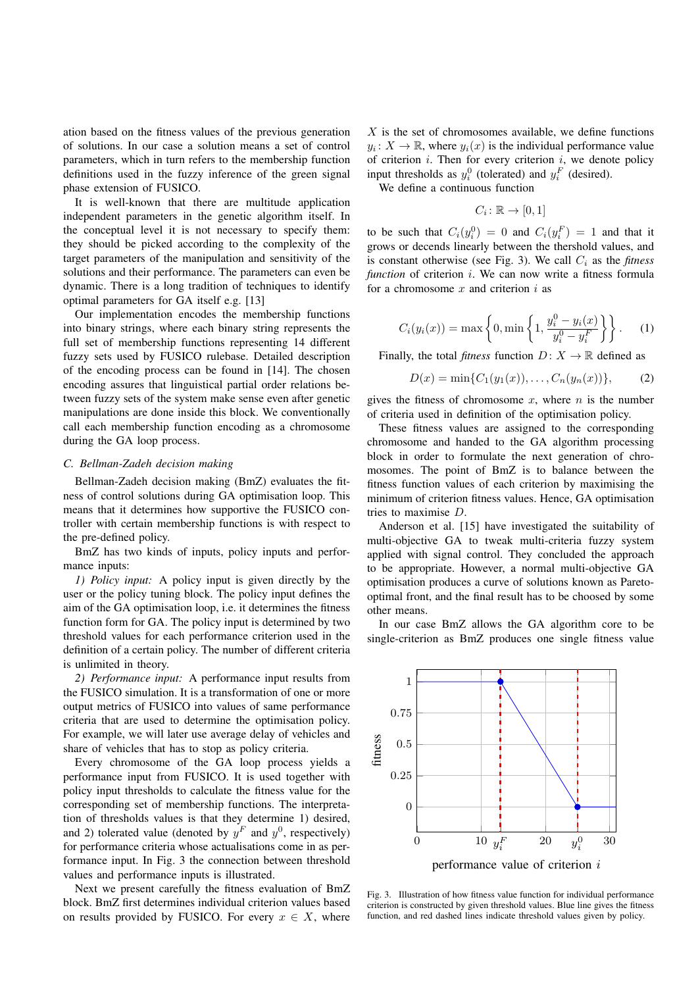ation based on the fitness values of the previous generation of solutions. In our case a solution means a set of control parameters, which in turn refers to the membership function definitions used in the fuzzy inference of the green signal phase extension of FUSICO.

It is well-known that there are multitude application independent parameters in the genetic algorithm itself. In the conceptual level it is not necessary to specify them: they should be picked according to the complexity of the target parameters of the manipulation and sensitivity of the solutions and their performance. The parameters can even be dynamic. There is a long tradition of techniques to identify optimal parameters for GA itself e.g. [13]

Our implementation encodes the membership functions into binary strings, where each binary string represents the full set of membership functions representing 14 different fuzzy sets used by FUSICO rulebase. Detailed description of the encoding process can be found in [14]. The chosen encoding assures that linguistical partial order relations between fuzzy sets of the system make sense even after genetic manipulations are done inside this block. We conventionally call each membership function encoding as a chromosome during the GA loop process.

#### *C. Bellman-Zadeh decision making*

Bellman-Zadeh decision making (BmZ) evaluates the fitness of control solutions during GA optimisation loop. This means that it determines how supportive the FUSICO controller with certain membership functions is with respect to the pre-defined policy.

BmZ has two kinds of inputs, policy inputs and performance inputs:

*1) Policy input:* A policy input is given directly by the user or the policy tuning block. The policy input defines the aim of the GA optimisation loop, i.e. it determines the fitness function form for GA. The policy input is determined by two threshold values for each performance criterion used in the definition of a certain policy. The number of different criteria is unlimited in theory.

*2) Performance input:* A performance input results from the FUSICO simulation. It is a transformation of one or more output metrics of FUSICO into values of same performance criteria that are used to determine the optimisation policy. For example, we will later use average delay of vehicles and share of vehicles that has to stop as policy criteria.

Every chromosome of the GA loop process yields a performance input from FUSICO. It is used together with policy input thresholds to calculate the fitness value for the corresponding set of membership functions. The interpretation of thresholds values is that they determine 1) desired, and 2) tolerated value (denoted by  $y^F$  and  $y^0$ , respectively) for performance criteria whose actualisations come in as performance input. In Fig. 3 the connection between threshold values and performance inputs is illustrated.

Next we present carefully the fitness evaluation of BmZ block. BmZ first determines individual criterion values based on results provided by FUSICO. For every  $x \in X$ , where

 $X$  is the set of chromosomes available, we define functions  $y_i \colon X \to \mathbb{R}$ , where  $y_i(x)$  is the individual performance value of criterion  $i$ . Then for every criterion  $i$ , we denote policy input thresholds as  $y_i^0$  (tolerated) and  $y_i^F$  (desired).

We define a continuous function

$$
C_i\colon \mathbb{R}\to [0,1]
$$

to be such that  $C_i(y_i^0) = 0$  and  $C_i(y_i^F) = 1$  and that it grows or decends linearly between the thershold values, and is constant otherwise (see Fig. 3). We call  $C_i$  as the *fitness function* of criterion *i*. We can now write a fitness formula for a chromosome  $x$  and criterion  $i$  as

$$
C_i(y_i(x)) = \max\left\{0, \min\left\{1, \frac{y_i^0 - y_i(x)}{y_i^0 - y_i^F}\right\}\right\}.
$$
 (1)

Finally, the total *fitness* function  $D: X \to \mathbb{R}$  defined as

$$
D(x) = \min\{C_1(y_1(x)), \dots, C_n(y_n(x))\},\tag{2}
$$

gives the fitness of chromosome  $x$ , where  $n$  is the number of criteria used in definition of the optimisation policy.

These fitness values are assigned to the corresponding chromosome and handed to the GA algorithm processing block in order to formulate the next generation of chromosomes. The point of BmZ is to balance between the fitness function values of each criterion by maximising the minimum of criterion fitness values. Hence, GA optimisation tries to maximise D.

Anderson et al. [15] have investigated the suitability of multi-objective GA to tweak multi-criteria fuzzy system applied with signal control. They concluded the approach to be appropriate. However, a normal multi-objective GA optimisation produces a curve of solutions known as Paretooptimal front, and the final result has to be choosed by some other means.

In our case BmZ allows the GA algorithm core to be single-criterion as BmZ produces one single fitness value



Fig. 3. Illustration of how fitness value function for individual performance criterion is constructed by given threshold values. Blue line gives the fitness function, and red dashed lines indicate threshold values given by policy.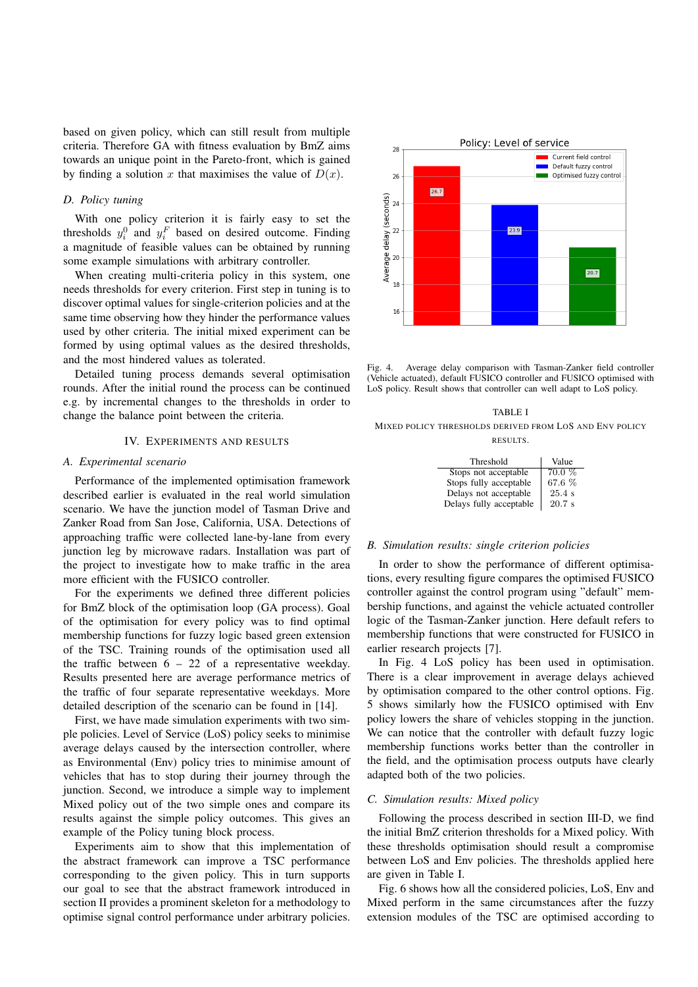based on given policy, which can still result from multiple criteria. Therefore GA with fitness evaluation by BmZ aims towards an unique point in the Pareto-front, which is gained by finding a solution x that maximises the value of  $D(x)$ .

### *D. Policy tuning*

With one policy criterion it is fairly easy to set the thresholds  $y_i^0$  and  $y_i^F$  based on desired outcome. Finding a magnitude of feasible values can be obtained by running some example simulations with arbitrary controller.

When creating multi-criteria policy in this system, one needs thresholds for every criterion. First step in tuning is to discover optimal values for single-criterion policies and at the same time observing how they hinder the performance values used by other criteria. The initial mixed experiment can be formed by using optimal values as the desired thresholds, and the most hindered values as tolerated.

Detailed tuning process demands several optimisation rounds. After the initial round the process can be continued e.g. by incremental changes to the thresholds in order to change the balance point between the criteria.

#### IV. EXPERIMENTS AND RESULTS

#### *A. Experimental scenario*

Performance of the implemented optimisation framework described earlier is evaluated in the real world simulation scenario. We have the junction model of Tasman Drive and Zanker Road from San Jose, California, USA. Detections of approaching traffic were collected lane-by-lane from every junction leg by microwave radars. Installation was part of the project to investigate how to make traffic in the area more efficient with the FUSICO controller.

For the experiments we defined three different policies for BmZ block of the optimisation loop (GA process). Goal of the optimisation for every policy was to find optimal membership functions for fuzzy logic based green extension of the TSC. Training rounds of the optimisation used all the traffic between  $6 - 22$  of a representative weekday. Results presented here are average performance metrics of the traffic of four separate representative weekdays. More detailed description of the scenario can be found in [14].

First, we have made simulation experiments with two simple policies. Level of Service (LoS) policy seeks to minimise average delays caused by the intersection controller, where as Environmental (Env) policy tries to minimise amount of vehicles that has to stop during their journey through the junction. Second, we introduce a simple way to implement Mixed policy out of the two simple ones and compare its results against the simple policy outcomes. This gives an example of the Policy tuning block process.

Experiments aim to show that this implementation of the abstract framework can improve a TSC performance corresponding to the given policy. This in turn supports our goal to see that the abstract framework introduced in section II provides a prominent skeleton for a methodology to optimise signal control performance under arbitrary policies.



Fig. 4. Average delay comparison with Tasman-Zanker field controller (Vehicle actuated), default FUSICO controller and FUSICO optimised with LoS policy. Result shows that controller can well adapt to LoS policy.

#### TABLE I

MIXED POLICY THRESHOLDS DERIVED FROM LOS AND ENV POLICY RESULTS.

| Threshold               | Value    |
|-------------------------|----------|
| Stops not acceptable    | $70.0\%$ |
| Stops fully acceptable  | 67.6 %   |
| Delays not acceptable   | 25.4 s   |
| Delays fully acceptable | 20.7 s   |

#### *B. Simulation results: single criterion policies*

In order to show the performance of different optimisations, every resulting figure compares the optimised FUSICO controller against the control program using "default" membership functions, and against the vehicle actuated controller logic of the Tasman-Zanker junction. Here default refers to membership functions that were constructed for FUSICO in earlier research projects [7].

In Fig. 4 LoS policy has been used in optimisation. There is a clear improvement in average delays achieved by optimisation compared to the other control options. Fig. 5 shows similarly how the FUSICO optimised with Env policy lowers the share of vehicles stopping in the junction. We can notice that the controller with default fuzzy logic membership functions works better than the controller in the field, and the optimisation process outputs have clearly adapted both of the two policies.

#### *C. Simulation results: Mixed policy*

Following the process described in section III-D, we find the initial BmZ criterion thresholds for a Mixed policy. With these thresholds optimisation should result a compromise between LoS and Env policies. The thresholds applied here are given in Table I.

Fig. 6 shows how all the considered policies, LoS, Env and Mixed perform in the same circumstances after the fuzzy extension modules of the TSC are optimised according to